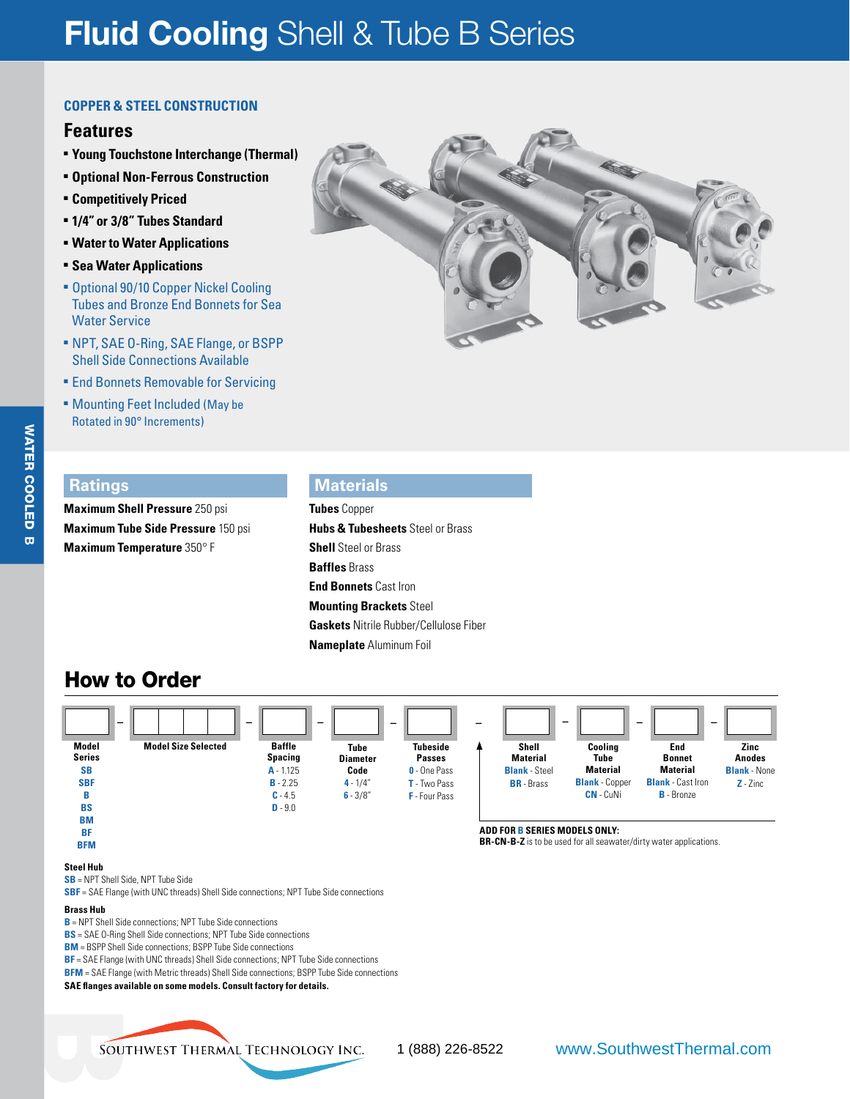# **Fluid Cooling** Shell & Tube B Series

#### **Copper & Steel Construction**

#### **Features**

- <sup>n</sup> **Young Touchstone Interchange (Thermal)**
- <sup>n</sup> **Optional Non-Ferrous Construction** <sup>n</sup> **Competitively Priced**
- <sup>n</sup> **1/4" or 3/8" Tubes Standard**
- <sup>n</sup> **Water to Water Applications**
- <sup>n</sup> **Sea Water Applications**
- **E** Optional 90/10 Copper Nickel Cooling Tubes and Bronze End Bonnets for Sea Water Service
- <sup>n</sup> NPT, SAE O-Ring, SAE Flange, or BSPP Shell Side Connections Available
- **End Bonnets Removable for Servicing**
- **EXECUTE: Mounting Feet Included (May be** Rotated in 90° Increments)



#### **Ratings**

WATER COOLED **WATER COOLED B** 

**Maximum Shell Pressure** 250 psi **Maximum Tube Side Pressure** 150 psi **Maximum Temperature** 350° F

### **Materials**

**Tubes** Copper **Hubs & Tubesheets** Steel or Brass **Shell** Steel or Brass **Baffles** Brass **End Bonnets** Cast Iron **Mounting Brackets** Steel **Gaskets** Nitrile Rubber/Cellulose Fiber **Nameplate** Aluminum Foil

### How to Order



#### **Steel Hub**

**SB** = NPT Shell Side, NPT Tube Side

**SBF** = SAE Flange (with UNC threads) Shell Side connections; NPT Tube Side connections

#### **Brass Hub**

**B** = NPT Shell Side connections; NPT Tube Side connections

**BS** = SAE O-Ring Shell Side connections; NPT Tube Side connections

**BM** = BSPP Shell Side connections; BSPP Tube Side connections

**BF** = SAE Flange (with UNC threads) Shell Side connections; NPT Tube Side connections

**BFM** = SAE Flange (with Metric threads) Shell Side connections; BSPP Tube Side connections

**SAE flanges available on some models. Consult factory for details.**

SOL

1 (888) 226-8522 www.SouthwestThermal.com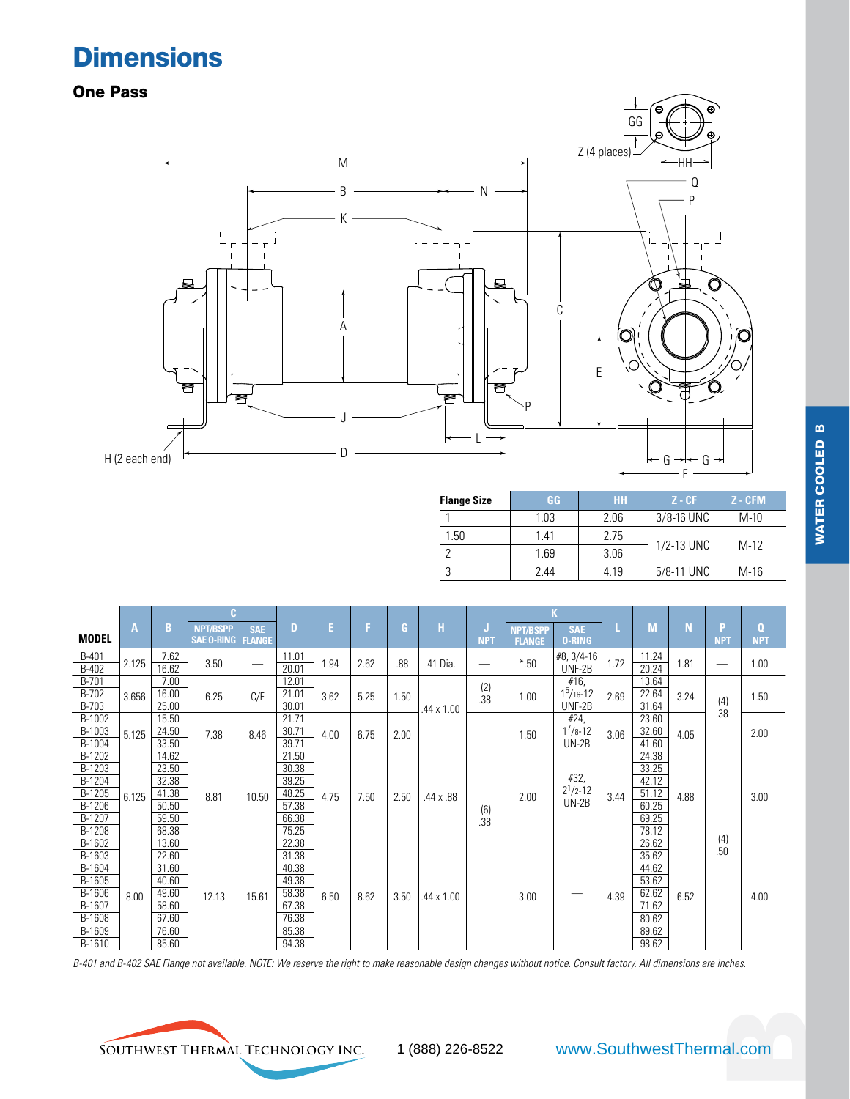### **Dimensions**

### One Pass



| <b>Flange Size</b> | GG.  | <b>HH</b> | $Z - CF$     | $Z - CFM$ |
|--------------------|------|-----------|--------------|-----------|
|                    | 1.03 | 2.06      | $3/8-16$ UNC | $M-10$    |
| 1.50               | 141  | 2.75      |              |           |
|                    | 1.69 | 3.06      | 1/2-13 UNC   | $M-12$    |
|                    | 244  | 4.19      | 5/8-11 UNC   | $M-16$    |

| <b>MODEL</b>          | $\overline{A}$ | B              | <b>NPT/BSPP</b><br><b>SAE O-RING</b> | <b>SAE</b><br><b>FLANGE</b> | D              | E.   | F.   | G.   | $\mathbf{H}$ | IJ<br><b>NPT</b> | <b>NPT/BSPP</b><br><b>FLANGE</b> | <b>SAE</b><br><b>O-RING</b> | L    | M              | N    | P<br><b>NPT</b> | $\Omega$<br><b>NPT</b> |
|-----------------------|----------------|----------------|--------------------------------------|-----------------------------|----------------|------|------|------|--------------|------------------|----------------------------------|-----------------------------|------|----------------|------|-----------------|------------------------|
| B-401<br>B-402        | 2.125          | 7.62<br>16.62  | 3.50                                 |                             | 11.01<br>20.01 | 1.94 | 2.62 | .88  | .41 Dia.     | --               | $*50$                            | #8, 3/4-16<br>UNF-2B        | 1.72 | 11.24<br>20.24 | 1.81 | —               | 1.00                   |
| <b>B-701</b><br>B-702 |                | 7.00<br>16.00  |                                      |                             | 12.01<br>21.01 |      |      |      |              | (2)              |                                  | #16,<br>$1^5/16 - 12$       |      | 13.64<br>22.64 |      |                 |                        |
| B-703                 | 3.656          | 25.00          | 6.25                                 | C/F                         | 30.01          | 3.62 | 5.25 | 1.50 | .44 x 1.00   | .38              | 1.00                             | UNF-2B                      | 2.69 | 31.64          | 3.24 | (4)<br>.38      | 1.50                   |
| B-1002<br>B-1003      |                | 15.50<br>24.50 |                                      |                             | 21.71<br>30.71 |      |      |      |              |                  |                                  | #24,<br>$1^{7}/8 - 12$      |      | 23.60<br>32.60 |      |                 |                        |
| B-1004                | 5.125          | 33.50          | 7.38                                 | 8.46                        | 39.71          | 4.00 | 6.75 | 2.00 |              |                  | 1.50                             | $UN-2B$                     | 3.06 | 41.60          | 4.05 |                 | 2.00                   |
| B-1202                |                | 14.62          |                                      |                             | 21.50          |      |      |      |              |                  |                                  |                             |      | 24.38          |      |                 |                        |
| B-1203<br>B-1204      |                | 23.50<br>32.38 |                                      |                             | 30.38<br>39.25 |      |      |      |              |                  |                                  | #32,                        |      | 33.25<br>42.12 |      |                 |                        |
| B-1205                | 6.125          | 41.38          | 8.81                                 | 10.50                       | 48.25          | 4.75 | 7.50 | 2.50 | .44 x .88    |                  | 2.00                             | $2^1/2 - 12$                | 3.44 | 51.12          | 4.88 |                 | 3.00                   |
| B-1206                |                | 50.50          |                                      |                             | 57.38          |      |      |      |              | (6)              |                                  | $UN-2B$                     |      | 60.25          |      |                 |                        |
| B-1207                |                | 59.50          |                                      |                             | 66.38          |      |      |      |              | .38              |                                  |                             |      | 69.25          |      |                 |                        |
| B-1208<br>B-1602      |                | 68.38<br>13.60 |                                      |                             | 75.25<br>22.38 |      |      |      |              |                  |                                  |                             |      | 78.12<br>26.62 |      | (4)             |                        |
| B-1603                |                | 22.60          |                                      |                             | 31.38          |      |      |      |              |                  |                                  |                             |      | 35.62          |      | .50             |                        |
| B-1604                |                | 31.60          |                                      |                             | 40.38          |      |      |      |              |                  |                                  |                             |      | 44.62          |      |                 |                        |
| B-1605                |                | 40.60          |                                      |                             | 49.38          |      |      |      |              |                  |                                  |                             |      | 53.62          |      |                 |                        |
| B-1606<br>B-1607      | 8.00           | 49.60<br>58.60 | 12.13                                | 15.61                       | 58.38<br>67.38 | 6.50 | 8.62 | 3.50 | .44 x 1.00   |                  | 3.00                             |                             | 4.39 | 62.62<br>71.62 | 6.52 |                 | 4.00                   |
| B-1608                |                | 67.60          |                                      |                             | 76.38          |      |      |      |              |                  |                                  |                             |      | 80.62          |      |                 |                        |
| B-1609                |                | 76.60          |                                      |                             | 85.38          |      |      |      |              |                  |                                  |                             |      | 89.62          |      |                 |                        |
| B-1610                |                | 85.60          |                                      |                             | 94.38          |      |      |      |              |                  |                                  |                             |      | 98.62          |      |                 |                        |

*B-401 and B-402 SAE Flange not available. NOTE: We reserve the right to make reasonable design changes without notice. Consult factory. All dimensions are inches.* 

SOUTHWEST THERMAL TECHNOLOGY INC.

# al.com 1 (888) 226-8522 www.SouthwestThermal.com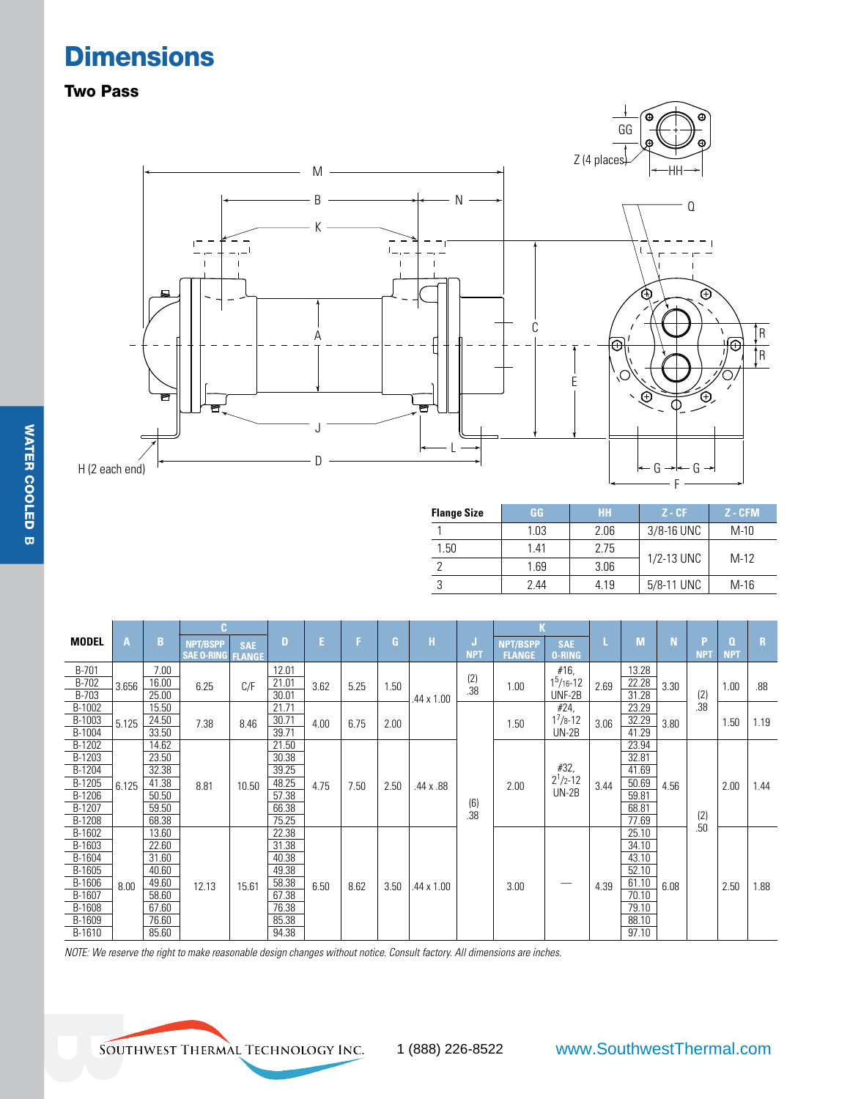## **Dimensions**

### Two Pass



| <b>Flange Size</b> | GG   | <b>HH</b> | $Z - CF$     | .Z - CFM ' |
|--------------------|------|-----------|--------------|------------|
|                    | 1.03 | 2.06      | $3/8-16$ UNC | $M-10$     |
| 1.50               | 1.41 | 2.75      |              | $M-12$     |
|                    | 1.69 | 3.06      | 1/2-13 UNC   |            |
|                    | 244  | 4.19      | 5/8-11 UNC   | $M-16$     |

| <b>MODEL</b> | A     | в     | <b>NPT/BSPP</b><br><b>SAE O-RING FLANGE</b> | <b>SAE</b> | D     | E.   | F.   | G    | н          | IJ<br><b>NPT</b> | <b>NPT/BSPP</b><br><b>FLANGE</b> | <b>SAE</b><br><b>O-RING</b> |      | M     | N    | P<br><b>NPT</b> | Q<br><b>NPT</b> | $\mathbf{R}$ |
|--------------|-------|-------|---------------------------------------------|------------|-------|------|------|------|------------|------------------|----------------------------------|-----------------------------|------|-------|------|-----------------|-----------------|--------------|
| B-701        |       | 7.00  |                                             |            | 12.01 |      |      |      |            |                  |                                  | #16,                        |      | 13.28 |      |                 |                 |              |
| B-702        | 3.656 | 16.00 | 6.25                                        | C/F        | 21.01 | 3.62 | 5.25 | 1.50 |            | (2)              | 1.00                             | $1^5/16 - 12$               | 2.69 | 22.28 | 3.30 |                 | 1.00            | .88          |
| B-703        |       | 25.00 |                                             |            | 30.01 |      |      |      | .44 x 1.00 | .38              |                                  | UNF-2B                      |      | 31.28 |      | (2)             |                 |              |
| B-1002       |       | 15.50 |                                             |            | 21.71 |      |      |      |            |                  |                                  | #24,                        |      | 23.29 |      | .38             |                 |              |
| B-1003       | 5.125 | 24.50 | 7.38                                        | 8.46       | 30.71 | 4.00 | 6.75 | 2.00 |            |                  | 1.50                             | $1^{7}/8 - 12$              | 3.06 | 32.29 | 3.80 |                 | 1.50            | 1.19         |
| B-1004       |       | 33.50 |                                             |            | 39.71 |      |      |      |            |                  |                                  | $UN-2B$                     |      | 41.29 |      |                 |                 |              |
| B-1202       |       | 14.62 |                                             |            | 21.50 |      |      |      |            |                  |                                  |                             |      | 23.94 |      |                 |                 |              |
| B-1203       |       | 23.50 |                                             |            | 30.38 |      |      |      |            |                  |                                  |                             |      | 32.81 |      |                 |                 |              |
| B-1204       |       | 32.38 |                                             |            | 39.25 |      |      |      |            |                  |                                  | #32,                        |      | 41.69 |      |                 |                 |              |
| B-1205       | 6.125 | 41.38 | 8.81                                        | 10.50      | 48.25 | 4.75 | 7.50 | 2.50 | .44 x .88  |                  | 2.00                             | $2^1/2 - 12$                | 3.44 | 50.69 | 4.56 |                 | 2.00            | 1.44         |
| B-1206       |       | 50.50 |                                             |            | 57.38 |      |      |      |            | (6)              |                                  | $UN-2B$                     |      | 59.81 |      |                 |                 |              |
| B-1207       |       | 59.50 |                                             |            | 66.38 |      |      |      |            | .38              |                                  |                             |      | 68.81 |      | (2)             |                 |              |
| B-1208       |       | 68.38 |                                             |            | 75.25 |      |      |      |            |                  |                                  |                             |      | 77.69 |      | .50             |                 |              |
| B-1602       |       | 13.60 |                                             |            | 22.38 |      |      |      |            |                  |                                  |                             |      | 25.10 |      |                 |                 |              |
| B-1603       |       | 22.60 |                                             |            | 31.38 |      |      |      |            |                  |                                  |                             |      | 34.10 |      |                 |                 |              |
| B-1604       |       | 31.60 |                                             |            | 40.38 |      |      |      |            |                  |                                  |                             |      | 43.10 |      |                 |                 |              |
| B-1605       |       | 40.60 |                                             |            | 49.38 |      |      |      |            |                  |                                  |                             |      | 52.10 |      |                 |                 |              |
| B-1606       | 8.00  | 49.60 | 12.13                                       | 15.61      | 58.38 | 6.50 | 8.62 | 3.50 | .44 x 1.00 |                  | 3.00                             | _                           | 4.39 | 61.10 | 6.08 |                 | 2.50            | 1.88         |
| B-1607       |       | 58.60 |                                             |            | 67.38 |      |      |      |            |                  |                                  |                             |      | 70.10 |      |                 |                 |              |
| B-1608       |       | 67.60 |                                             |            | 76.38 |      |      |      |            |                  |                                  |                             |      | 79.10 |      |                 |                 |              |
| B-1609       |       | 76.60 |                                             |            | 85.38 |      |      |      |            |                  |                                  |                             |      | 88.10 |      |                 |                 |              |
| B-1610       |       | 85.60 |                                             |            | 94.38 |      |      |      |            |                  |                                  |                             |      | 97.10 |      |                 |                 |              |

*NOTE: We reserve the right to make reasonable design changes without notice. Consult factory. All dimensions are inches.*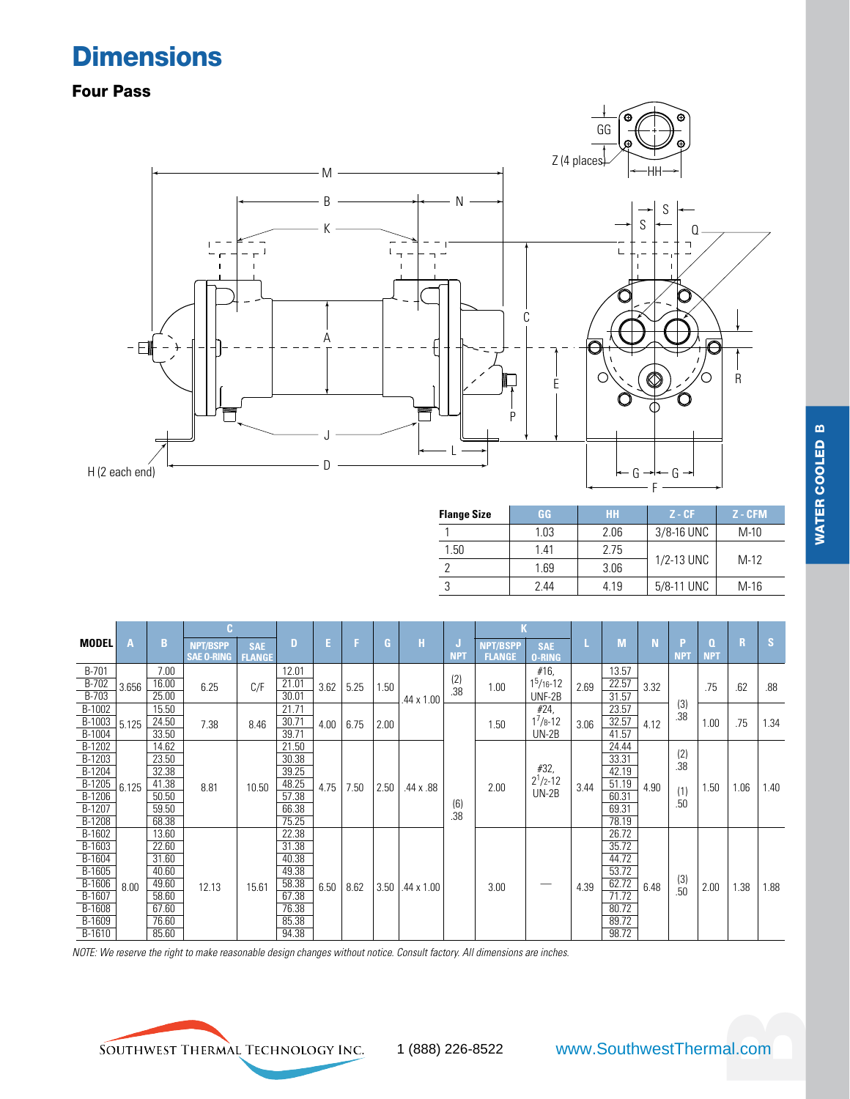## **Dimensions**

Four Pass



| <b>Flange Size</b> | GG   | <b>HH</b> | $Z - CF$   | $Z - CFM$ |
|--------------------|------|-----------|------------|-----------|
|                    | 1.03 | 2.06      | 3/8-16 UNC | $M-10$    |
| 1.50               | 1 41 | 2.75      |            | $M-12$    |
|                    | 1.69 | 3.06      | 1/2-13 UNC |           |
|                    | 244  | 4.19      | 5/8-11 UNC | $M-16$    |

| <b>MODEL</b> | A     | B     | <b>NPT/BSPP</b><br><b>SAE O-RING</b> | <b>SAE</b><br><b>FLANGE</b> | D     |      | Е    | G.   | н                 | IJ<br><b>NPT</b> | <b>NPT/BSPP</b><br><b>FLANGE</b> | <b>SAE</b><br><b>O-RING</b> |       | M     | Ñ    | P<br><b>NPT</b> | O.<br><b>NPT</b> | R    | <b>S</b> |
|--------------|-------|-------|--------------------------------------|-----------------------------|-------|------|------|------|-------------------|------------------|----------------------------------|-----------------------------|-------|-------|------|-----------------|------------------|------|----------|
| B-701        |       | 7.00  |                                      |                             | 12.01 |      |      |      |                   |                  |                                  | #16,                        |       | 13.57 |      |                 |                  |      |          |
| B-702        | 3.656 | 16.00 | 6.25                                 | C/F                         | 21.01 | 3.62 | 5.25 | 1.50 |                   | (2)<br>.38       | 1.00                             | $15/16-12$                  | 2.69  | 22.57 | 3.32 |                 | .75              | .62  | .88      |
| B-703        |       | 25.00 |                                      |                             | 30.01 |      |      |      | .44 x 1.00        |                  |                                  | UNF-2B                      |       | 31.57 |      |                 |                  |      |          |
| B-1002       |       | 15.50 |                                      |                             | 21.71 |      |      |      |                   |                  |                                  | #24,                        |       | 23.57 |      | (3)<br>.38      |                  |      |          |
| B-1003       | 5.125 | 24.50 | 7.38                                 | 8.46                        | 30.71 | 4.00 | 6.75 | 2.00 |                   |                  | 1.50                             | $1^7/8 - 12$                | 3.06  | 32.57 | 4.12 |                 | 1.00             | .75  | 1.34     |
| B-1004       |       | 33.50 |                                      |                             | 39.71 |      |      |      |                   |                  |                                  | $UN-2B$                     |       | 41.57 |      |                 |                  |      |          |
| B-1202       |       | 14.62 |                                      |                             | 21.50 |      |      |      |                   |                  |                                  |                             |       | 24.44 |      | (2)             |                  |      |          |
| B-1203       |       | 23.50 |                                      |                             | 30.38 |      |      |      |                   |                  |                                  |                             |       | 33.31 |      | .38             |                  |      |          |
| B-1204       |       | 32.38 |                                      |                             | 39.25 |      |      |      |                   |                  |                                  | #32,                        |       | 42.19 |      |                 |                  |      |          |
| $B-1205$     | 6.125 | 41.38 | 8.81                                 | 10.50                       | 48.25 | 4.75 | 7.50 | 2.50 | .44 x .88         |                  | 2.00                             | $2^1/2 - 12$                | 3.44  | 51.19 | 4.90 | (1)             | 1.50             | 1.06 | 1.40     |
| $B-1206$     |       | 50.50 |                                      |                             | 57.38 |      |      |      |                   |                  |                                  | $UN-2B$                     |       | 60.31 |      | .50             |                  |      |          |
| B-1207       |       | 59.50 |                                      |                             | 66.38 |      |      |      |                   | (6)<br>.38       |                                  |                             |       | 69.31 |      |                 |                  |      |          |
| B-1208       |       | 68.38 |                                      |                             | 75.25 |      |      |      |                   |                  |                                  |                             |       | 78.19 |      |                 |                  |      |          |
| B-1602       |       | 13.60 |                                      |                             | 22.38 |      |      |      |                   |                  |                                  |                             |       | 26.72 |      |                 |                  |      |          |
| B-1603       |       | 22.60 |                                      |                             | 31.38 |      |      |      |                   |                  |                                  |                             |       | 35.72 |      |                 |                  |      |          |
| B-1604       |       | 31.60 |                                      |                             | 40.38 |      |      |      |                   |                  |                                  |                             |       | 44.72 |      |                 |                  |      |          |
| $B-1605$     |       | 40.60 |                                      |                             | 49.38 |      |      |      |                   |                  |                                  |                             |       | 53.72 |      | (3)             |                  |      |          |
| B-1606       | 8.00  | 49.60 | 12.13                                | 15.61                       | 58.38 | 6.50 | 8.62 | 3.50 | $.44 \times 1.00$ |                  | 3.00                             |                             | 4.39  | 62.72 | 6.48 | .50             | 2.00             | 1.38 | 1.88     |
| B-1607       |       | 58.60 |                                      | 67.38                       |       |      |      |      |                   |                  |                                  |                             | 71.72 |       |      |                 |                  |      |          |
| B-1608       |       | 67.60 |                                      |                             | 76.38 |      |      |      |                   |                  |                                  |                             |       | 80.72 |      |                 |                  |      |          |
| B-1609       |       | 76.60 |                                      |                             | 85.38 |      |      |      |                   |                  |                                  |                             |       | 89.72 |      |                 |                  |      |          |
| B-1610       |       | 85.60 |                                      |                             | 94.38 |      |      |      |                   |                  |                                  |                             |       | 98.72 |      |                 |                  |      |          |

*NOTE: We reserve the right to make reasonable design changes without notice. Consult factory. All dimensions are inches.* 

**B**

SOUTHWEST THERMAL TECHNOLOGY INC.

al.com 1 (888) 226-8522 www.SouthwestThermal.com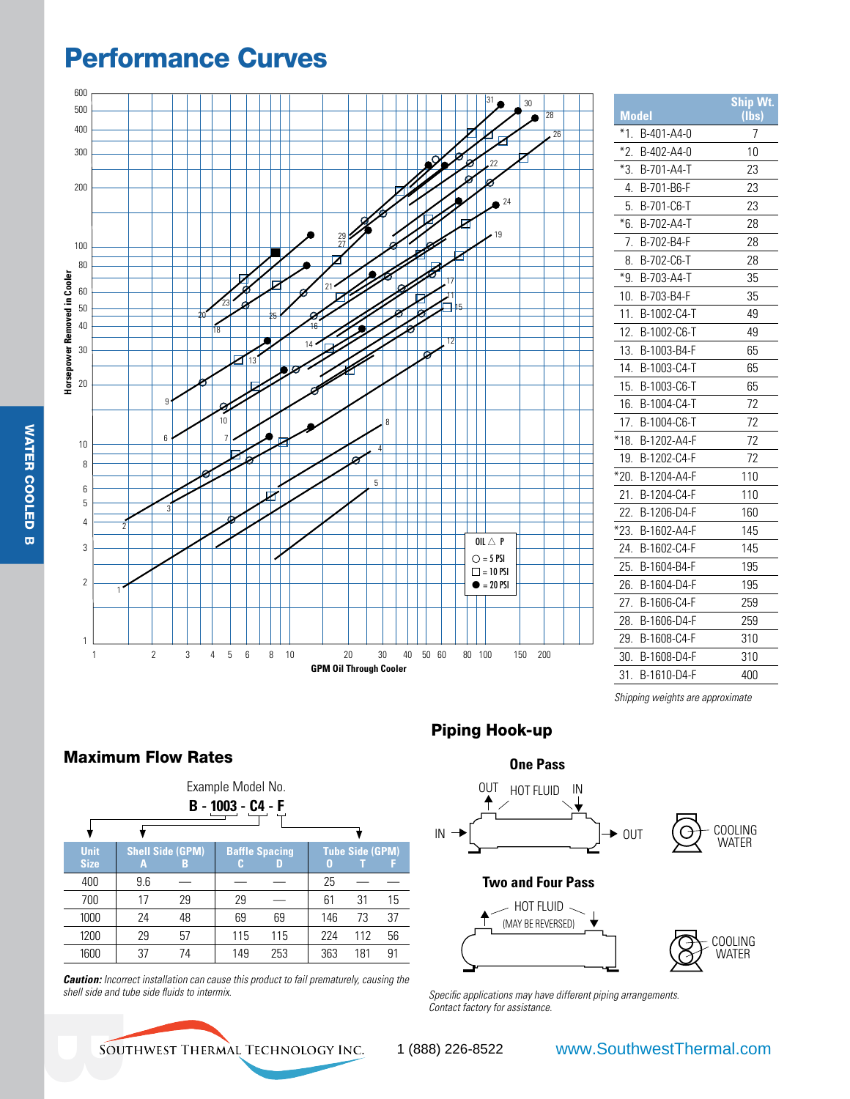### Performance Curves



|        | <b>Model</b> | Ship Wt.<br>(lbs |
|--------|--------------|------------------|
| *1.    | B-401-A4-0   | 7                |
| *2.    | B-402-A4-0   | 10               |
| *3.    | B-701-A4-T   | 23               |
| 4.     | B-701-B6-F   | 23               |
| 5.     | B-701-C6-T   | 23               |
| *6.    | B-702-A4-T   | 28               |
| 7.     | B-702-B4-F   | 28               |
| 8.     | B-702-C6-T   | 28               |
| *9.    | B-703-A4-T   | 35               |
| 10.    | B-703-B4-F   | 35               |
| 11.    | B-1002-C4-T  | 49               |
| 12.    | B-1002-C6-T  | 49               |
| 13.    | B-1003-B4-F  | 65               |
| 14.    | B-1003-C4-T  | 65               |
| 15.    | B-1003-C6-T  | 65               |
| 16.    | B-1004-C4-T  | 72               |
| 17.    | B-1004-C6-T  | 72               |
| $*18.$ | B-1202-A4-F  | 72               |
| 19.    | B-1202-C4-F  | 72               |
| *20.   | B-1204-A4-F  | 110              |
| 21.    | B-1204-C4-F  | 110              |
| 22.    | B-1206-D4-F  | 160              |
| *23.   | B-1602-A4-F  | 145              |
| 24.    | B-1602-C4-F  | 145              |
| 25.    | B-1604-B4-F  | 195              |
| 26.    | B-1604-D4-F  | 195              |
| 27.    | B-1606-C4-F  | 259              |
| 28.    | B-1606-D4-F  | 259              |
| 29.    | B-1608-C4-F  | 310              |
| 30.    | B-1608-D4-F  | 310              |
| 31.    | B-1610-D4-F  | 400              |

*Shipping weights are approximate*

Maximum Flow Rates

| Example Model No.          |     |                              |     |                            |     |                        |    |  |  |
|----------------------------|-----|------------------------------|-----|----------------------------|-----|------------------------|----|--|--|
| B - 1003 - C4 - F          |     |                              |     |                            |     |                        |    |  |  |
|                            |     |                              |     |                            |     |                        |    |  |  |
| <b>Unit</b><br><b>Size</b> | А   | <b>Shell Side (GPM)</b><br>В |     | <b>Baffle Spacing</b><br>D | 0   | <b>Tube Side (GPM)</b> |    |  |  |
| 400                        | 9.6 |                              |     |                            | 25  |                        |    |  |  |
| 700                        | 17  | 29                           | 29  |                            | 61  | 31                     | 15 |  |  |
| 1000                       | 24  | 48                           | 69  | 69                         | 146 | 73                     | 37 |  |  |
| 1200                       | 29  | 57                           | 115 | 115                        | 224 | 112                    | 56 |  |  |
| 1600                       | 37  | 74                           | 149 | 253                        | 363 | 181                    | 91 |  |  |

*Caution: Incorrect installation can cause this product to fail prematurely, causing the shell side and tube side fluids to intermix.* 

### Piping Hook-up



*Specific applications may have different piping arrangements. Contact factory for assistance.*